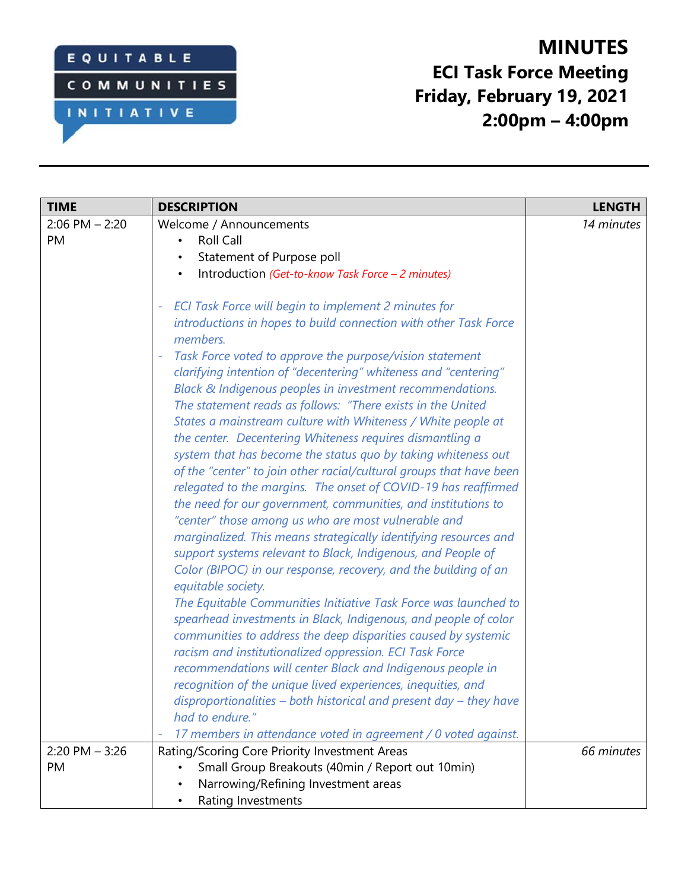## EQUITABLE

INITIATIVE

**COMMUNITIES** 

**MINUTES ECI Task Force Meeting Friday, February 19, 2021 2:00pm – 4:00pm**

| <b>TIME</b>        | <b>DESCRIPTION</b>                                                                    | <b>LENGTH</b> |
|--------------------|---------------------------------------------------------------------------------------|---------------|
| $2:06$ PM $- 2:20$ | Welcome / Announcements                                                               | 14 minutes    |
| <b>PM</b>          | <b>Roll Call</b>                                                                      |               |
|                    | Statement of Purpose poll<br>$\bullet$                                                |               |
|                    | Introduction (Get-to-know Task Force - 2 minutes)<br>$\bullet$                        |               |
|                    | <b>ECI Task Force will begin to implement 2 minutes for</b>                           |               |
|                    | introductions in hopes to build connection with other Task Force<br>members.          |               |
|                    | Task Force voted to approve the purpose/vision statement                              |               |
|                    | clarifying intention of "decentering" whiteness and "centering"                       |               |
|                    | Black & Indigenous peoples in investment recommendations.                             |               |
|                    | The statement reads as follows: "There exists in the United                           |               |
|                    | States a mainstream culture with Whiteness / White people at                          |               |
|                    | the center. Decentering Whiteness requires dismantling a                              |               |
|                    | system that has become the status quo by taking whiteness out                         |               |
|                    | of the "center" to join other racial/cultural groups that have been                   |               |
|                    | relegated to the margins. The onset of COVID-19 has reaffirmed                        |               |
|                    | the need for our government, communities, and institutions to                         |               |
|                    | "center" those among us who are most vulnerable and                                   |               |
|                    | marginalized. This means strategically identifying resources and                      |               |
|                    | support systems relevant to Black, Indigenous, and People of                          |               |
|                    | Color (BIPOC) in our response, recovery, and the building of an<br>equitable society. |               |
|                    | The Equitable Communities Initiative Task Force was launched to                       |               |
|                    | spearhead investments in Black, Indigenous, and people of color                       |               |
|                    | communities to address the deep disparities caused by systemic                        |               |
|                    | racism and institutionalized oppression. ECI Task Force                               |               |
|                    | recommendations will center Black and Indigenous people in                            |               |
|                    | recognition of the unique lived experiences, inequities, and                          |               |
|                    | disproportionalities - both historical and present day - they have                    |               |
|                    | had to endure."                                                                       |               |
|                    | 17 members in attendance voted in agreement / 0 voted against.                        |               |
| $2:20$ PM $-3:26$  | Rating/Scoring Core Priority Investment Areas                                         | 66 minutes    |
| PM                 | Small Group Breakouts (40min / Report out 10min)                                      |               |
|                    | Narrowing/Refining Investment areas                                                   |               |
|                    | Rating Investments<br>$\bullet$                                                       |               |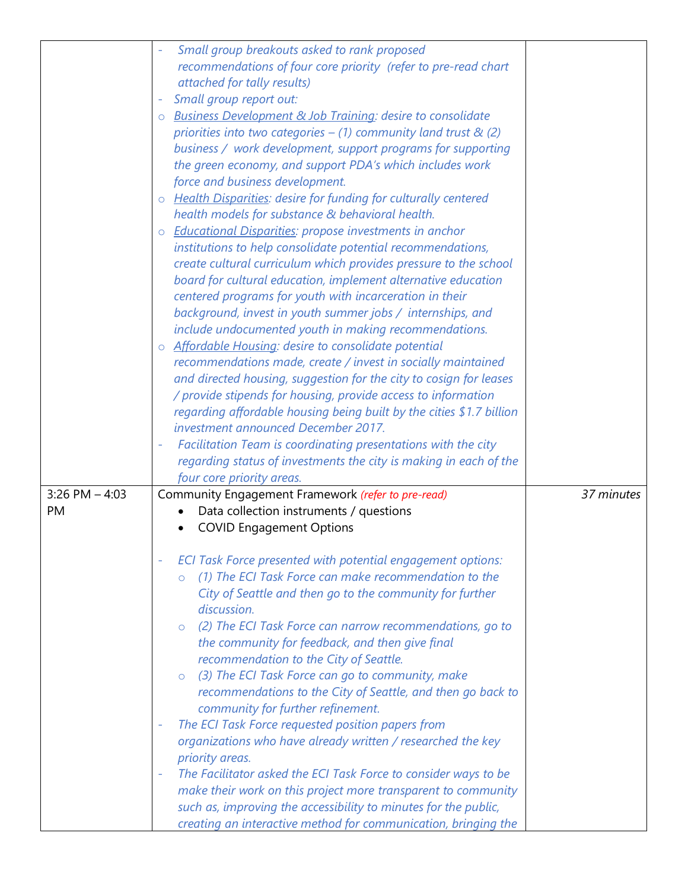|                    | Small group breakouts asked to rank proposed                                                                                      |            |
|--------------------|-----------------------------------------------------------------------------------------------------------------------------------|------------|
|                    | recommendations of four core priority (refer to pre-read chart                                                                    |            |
|                    | attached for tally results)                                                                                                       |            |
|                    | Small group report out:                                                                                                           |            |
|                    | <b>Business Development &amp; Job Training: desire to consolidate</b>                                                             |            |
|                    | priorities into two categories $-$ (1) community land trust & (2)                                                                 |            |
|                    | business / work development, support programs for supporting                                                                      |            |
|                    | the green economy, and support PDA's which includes work                                                                          |            |
|                    | force and business development.                                                                                                   |            |
|                    | <b>Health Disparities: desire for funding for culturally centered</b>                                                             |            |
|                    | $\circ$<br>health models for substance & behavioral health.                                                                       |            |
|                    |                                                                                                                                   |            |
|                    | <b>Educational Disparities: propose investments in anchor</b><br>$\circ$                                                          |            |
|                    | institutions to help consolidate potential recommendations,                                                                       |            |
|                    | create cultural curriculum which provides pressure to the school                                                                  |            |
|                    | board for cultural education, implement alternative education                                                                     |            |
|                    | centered programs for youth with incarceration in their                                                                           |            |
|                    | background, invest in youth summer jobs / internships, and                                                                        |            |
|                    | include undocumented youth in making recommendations.                                                                             |            |
|                    | Affordable Housing: desire to consolidate potential<br>$\circ$                                                                    |            |
|                    | recommendations made, create / invest in socially maintained                                                                      |            |
|                    | and directed housing, suggestion for the city to cosign for leases                                                                |            |
|                    | / provide stipends for housing, provide access to information                                                                     |            |
|                    | regarding affordable housing being built by the cities \$1.7 billion                                                              |            |
|                    | investment announced December 2017.                                                                                               |            |
|                    | Facilitation Team is coordinating presentations with the city                                                                     |            |
|                    | regarding status of investments the city is making in each of the                                                                 |            |
|                    | four core priority areas.                                                                                                         |            |
| $3:26$ PM $- 4:03$ | Community Engagement Framework (refer to pre-read)                                                                                | 37 minutes |
| <b>PM</b>          | Data collection instruments / questions                                                                                           |            |
|                    | <b>COVID Engagement Options</b>                                                                                                   |            |
|                    |                                                                                                                                   |            |
|                    | ECI Task Force presented with potential engagement options:<br>(1) The ECI Task Force can make recommendation to the              |            |
|                    | $\circ$                                                                                                                           |            |
|                    | City of Seattle and then go to the community for further                                                                          |            |
|                    | discussion.                                                                                                                       |            |
|                    | o (2) The ECI Task Force can narrow recommendations, go to                                                                        |            |
|                    | the community for feedback, and then give final                                                                                   |            |
|                    | recommendation to the City of Seattle.                                                                                            |            |
|                    | (3) The ECI Task Force can go to community, make<br>$\circ$                                                                       |            |
|                    | recommendations to the City of Seattle, and then go back to                                                                       |            |
|                    | community for further refinement.                                                                                                 |            |
|                    | The ECI Task Force requested position papers from                                                                                 |            |
|                    | organizations who have already written / researched the key                                                                       |            |
|                    | priority areas.                                                                                                                   |            |
|                    | The Facilitator asked the ECI Task Force to consider ways to be<br>make their work on this project more transparent to community  |            |
|                    |                                                                                                                                   |            |
|                    |                                                                                                                                   |            |
|                    | such as, improving the accessibility to minutes for the public,<br>creating an interactive method for communication, bringing the |            |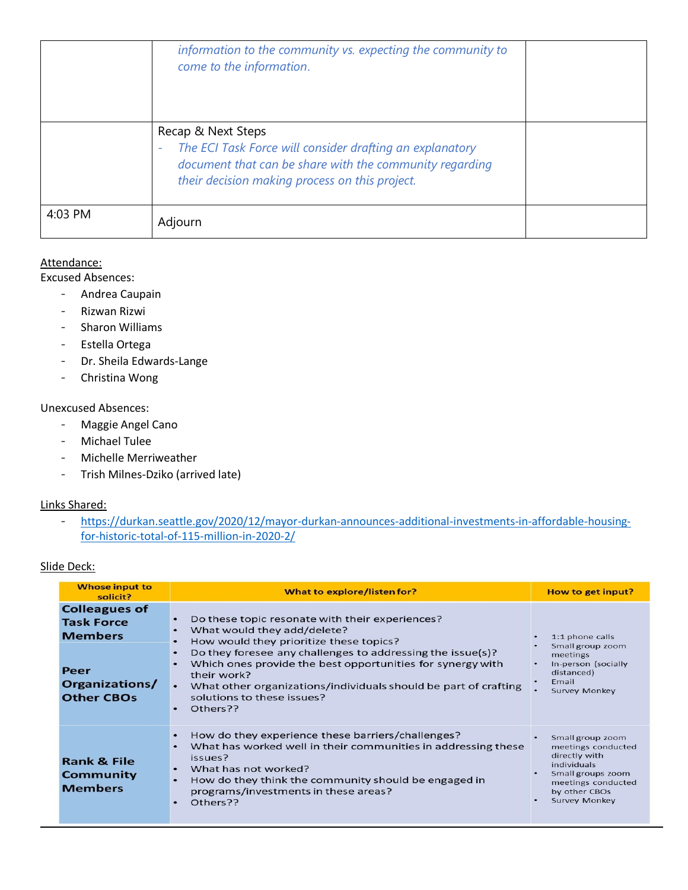|         | information to the community vs. expecting the community to<br>come to the information.                                                                                                     |  |
|---------|---------------------------------------------------------------------------------------------------------------------------------------------------------------------------------------------|--|
|         | Recap & Next Steps<br>The ECI Task Force will consider drafting an explanatory<br>document that can be share with the community regarding<br>their decision making process on this project. |  |
| 4:03 PM | Adjourn                                                                                                                                                                                     |  |

#### Attendance:

Excused Absences:

- Andrea Caupain
- Rizwan Rizwi
- Sharon Williams
- Estella Ortega
- Dr. Sheila Edwards-Lange
- Christina Wong

### Unexcused Absences:

- Maggie Angel Cano
- Michael Tulee
- Michelle Merriweather
- Trish Milnes-Dziko (arrived late)

#### Links Shared:

- [https://durkan.seattle.gov/2020/12/mayor-durkan-announces-additional-investments-in-affordable-housing](https://durkan.seattle.gov/2020/12/mayor-durkan-announces-additional-investments-in-affordable-housing-for-historic-total-of-115-million-in-2020-2/)[for-historic-total-of-115-million-in-2020-2/](https://durkan.seattle.gov/2020/12/mayor-durkan-announces-additional-investments-in-affordable-housing-for-historic-total-of-115-million-in-2020-2/)

#### Slide Deck:

| <b>Whose input to</b><br>solicit?                                                                          | What to explore/listen for?                                                                                                                                                                                                                                                                                                                                                                    | How to get input?                                                                                                                                                 |
|------------------------------------------------------------------------------------------------------------|------------------------------------------------------------------------------------------------------------------------------------------------------------------------------------------------------------------------------------------------------------------------------------------------------------------------------------------------------------------------------------------------|-------------------------------------------------------------------------------------------------------------------------------------------------------------------|
| <b>Colleagues of</b><br><b>Task Force</b><br><b>Members</b><br>Peer<br>Organizations/<br><b>Other CBOs</b> | Do these topic resonate with their experiences?<br>What would they add/delete?<br>How would they prioritize these topics?<br>Do they foresee any challenges to addressing the issue(s)?<br>Which ones provide the best opportunities for synergy with<br>their work?<br>What other organizations/individuals should be part of crafting<br>solutions to these issues?<br>Others??<br>$\bullet$ | 1:1 phone calls<br>Small group zoom<br>meetings<br>In-person (socially<br>distanced)<br>Email<br><b>Survey Monkey</b>                                             |
| <b>Rank &amp; File</b><br>Community<br><b>Members</b>                                                      | How do they experience these barriers/challenges?<br>What has worked well in their communities in addressing these<br>issues?<br>What has not worked?<br>$\bullet$<br>How do they think the community should be engaged in<br>$\bullet$<br>programs/investments in these areas?<br>Others??                                                                                                    | Small group zoom<br>meetings conducted<br>directly with<br><i>individuals</i><br>Small groups zoom<br>meetings conducted<br>by other CBOs<br><b>Survey Monkey</b> |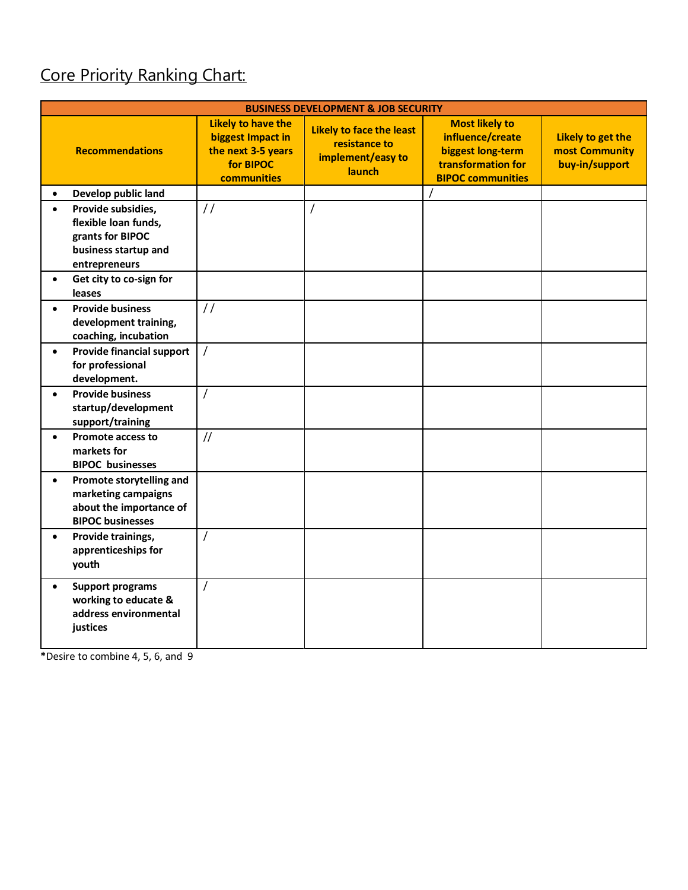# Core Priority Ranking Chart:

| <b>BUSINESS DEVELOPMENT &amp; JOB SECURITY</b> |                                                                                                         |                                                                                                         |                                                                                        |                                                                                                                  |                                                       |
|------------------------------------------------|---------------------------------------------------------------------------------------------------------|---------------------------------------------------------------------------------------------------------|----------------------------------------------------------------------------------------|------------------------------------------------------------------------------------------------------------------|-------------------------------------------------------|
|                                                | <b>Recommendations</b>                                                                                  | <b>Likely to have the</b><br>biggest Impact in<br>the next 3-5 years<br>for BIPOC<br><b>communities</b> | <b>Likely to face the least</b><br>resistance to<br>implement/easy to<br><b>launch</b> | <b>Most likely to</b><br>influence/create<br>biggest long-term<br>transformation for<br><b>BIPOC communities</b> | Likely to get the<br>most Community<br>buy-in/support |
|                                                | Develop public land                                                                                     |                                                                                                         |                                                                                        |                                                                                                                  |                                                       |
|                                                | Provide subsidies,<br>flexible loan funds,<br>grants for BIPOC<br>business startup and<br>entrepreneurs | $\frac{1}{2}$                                                                                           | $\prime$                                                                               |                                                                                                                  |                                                       |
| leases                                         | Get city to co-sign for                                                                                 |                                                                                                         |                                                                                        |                                                                                                                  |                                                       |
|                                                | <b>Provide business</b><br>development training,<br>coaching, incubation                                | $\frac{1}{2}$                                                                                           |                                                                                        |                                                                                                                  |                                                       |
| $\bullet$                                      | Provide financial support<br>for professional<br>development.                                           | $\overline{1}$                                                                                          |                                                                                        |                                                                                                                  |                                                       |
| $\bullet$                                      | <b>Provide business</b><br>startup/development<br>support/training                                      | $\overline{1}$                                                                                          |                                                                                        |                                                                                                                  |                                                       |
| markets for                                    | <b>Promote access to</b><br><b>BIPOC</b> businesses                                                     | $\frac{1}{2}$                                                                                           |                                                                                        |                                                                                                                  |                                                       |
| $\bullet$                                      | Promote storytelling and<br>marketing campaigns<br>about the importance of<br><b>BIPOC businesses</b>   |                                                                                                         |                                                                                        |                                                                                                                  |                                                       |
| youth                                          | Provide trainings,<br>apprenticeships for                                                               | $\prime$                                                                                                |                                                                                        |                                                                                                                  |                                                       |
| $\bullet$<br>justices                          | <b>Support programs</b><br>working to educate &<br>address environmental                                | $\prime$                                                                                                |                                                                                        |                                                                                                                  |                                                       |

**\***Desire to combine 4, 5, 6, and 9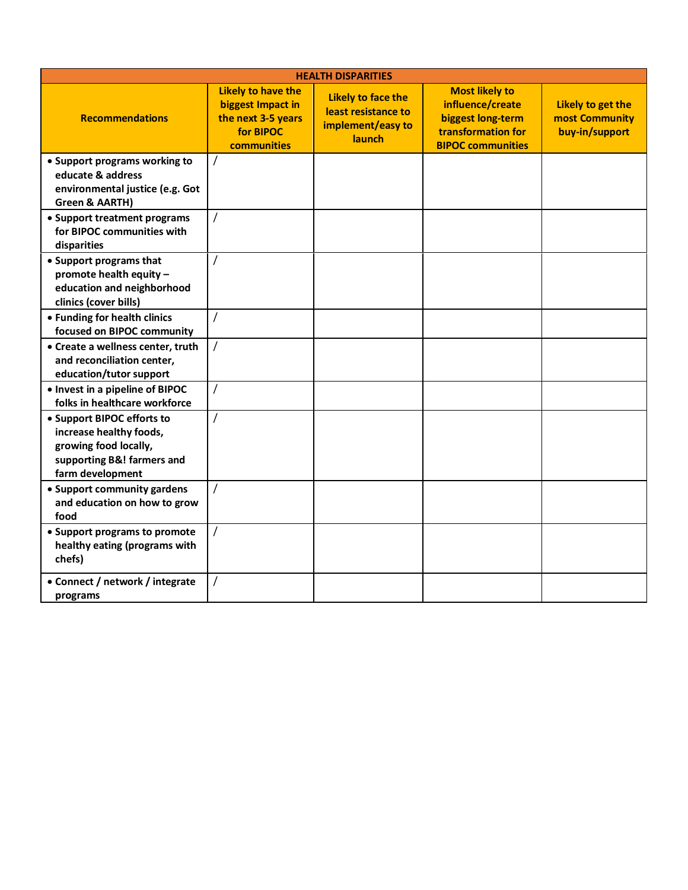| <b>HEALTH DISPARITIES</b>                                                                                                        |                                                                                                  |                                                                                 |                                                                                                                  |                                                       |  |
|----------------------------------------------------------------------------------------------------------------------------------|--------------------------------------------------------------------------------------------------|---------------------------------------------------------------------------------|------------------------------------------------------------------------------------------------------------------|-------------------------------------------------------|--|
| <b>Recommendations</b>                                                                                                           | <b>Likely to have the</b><br>biggest Impact in<br>the next 3-5 years<br>for BIPOC<br>communities | <b>Likely to face the</b><br>least resistance to<br>implement/easy to<br>launch | <b>Most likely to</b><br>influence/create<br>biggest long-term<br>transformation for<br><b>BIPOC communities</b> | Likely to get the<br>most Community<br>buy-in/support |  |
| • Support programs working to<br>educate & address<br>environmental justice (e.g. Got<br>Green & AARTH)                          |                                                                                                  |                                                                                 |                                                                                                                  |                                                       |  |
| • Support treatment programs<br>for BIPOC communities with<br>disparities                                                        | $\prime$                                                                                         |                                                                                 |                                                                                                                  |                                                       |  |
| • Support programs that<br>promote health equity -<br>education and neighborhood<br>clinics (cover bills)                        | $\prime$                                                                                         |                                                                                 |                                                                                                                  |                                                       |  |
| • Funding for health clinics<br>focused on BIPOC community                                                                       | $\prime$                                                                                         |                                                                                 |                                                                                                                  |                                                       |  |
| • Create a wellness center, truth<br>and reconciliation center,<br>education/tutor support                                       | $\prime$                                                                                         |                                                                                 |                                                                                                                  |                                                       |  |
| • Invest in a pipeline of BIPOC<br>folks in healthcare workforce                                                                 | $\prime$                                                                                         |                                                                                 |                                                                                                                  |                                                       |  |
| • Support BIPOC efforts to<br>increase healthy foods,<br>growing food locally,<br>supporting B&! farmers and<br>farm development |                                                                                                  |                                                                                 |                                                                                                                  |                                                       |  |
| • Support community gardens<br>and education on how to grow<br>food                                                              | $\prime$                                                                                         |                                                                                 |                                                                                                                  |                                                       |  |
| • Support programs to promote<br>healthy eating (programs with<br>chefs)                                                         | $\prime$                                                                                         |                                                                                 |                                                                                                                  |                                                       |  |
| • Connect / network / integrate<br>programs                                                                                      | $\prime$                                                                                         |                                                                                 |                                                                                                                  |                                                       |  |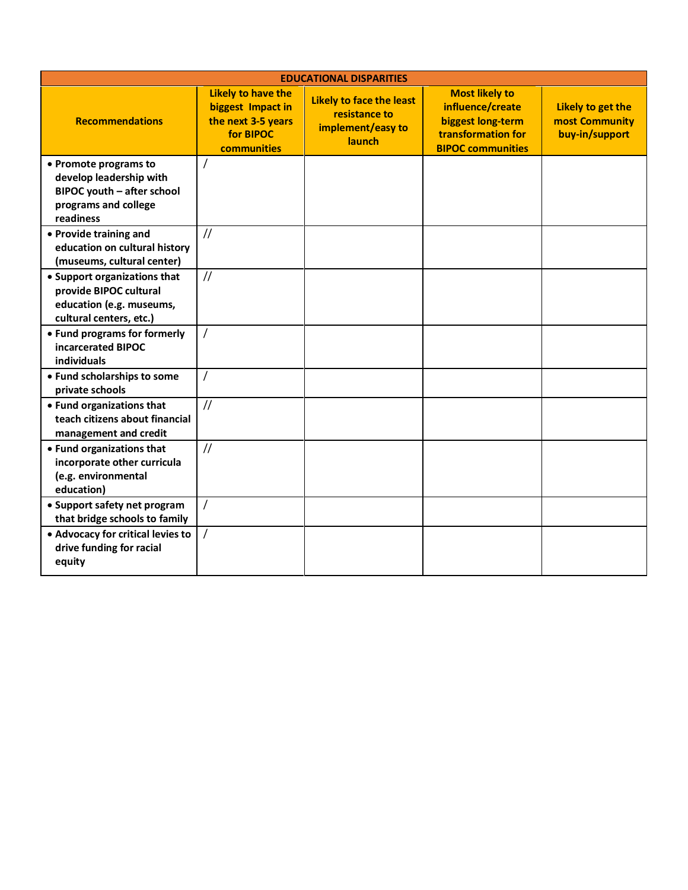| <b>EDUCATIONAL DISPARITIES</b>                                                                                      |                                                                                                  |                                                                                 |                                                                                                                  |                                                       |  |
|---------------------------------------------------------------------------------------------------------------------|--------------------------------------------------------------------------------------------------|---------------------------------------------------------------------------------|------------------------------------------------------------------------------------------------------------------|-------------------------------------------------------|--|
| <b>Recommendations</b>                                                                                              | <b>Likely to have the</b><br>biggest Impact in<br>the next 3-5 years<br>for BIPOC<br>communities | <b>Likely to face the least</b><br>resistance to<br>implement/easy to<br>launch | <b>Most likely to</b><br>influence/create<br>biggest long-term<br>transformation for<br><b>BIPOC communities</b> | Likely to get the<br>most Community<br>buy-in/support |  |
| • Promote programs to<br>develop leadership with<br>BIPOC youth - after school<br>programs and college<br>readiness | $\overline{1}$                                                                                   |                                                                                 |                                                                                                                  |                                                       |  |
| • Provide training and<br>education on cultural history<br>(museums, cultural center)                               | $\frac{1}{2}$                                                                                    |                                                                                 |                                                                                                                  |                                                       |  |
| • Support organizations that<br>provide BIPOC cultural<br>education (e.g. museums,<br>cultural centers, etc.)       | $\frac{1}{2}$                                                                                    |                                                                                 |                                                                                                                  |                                                       |  |
| • Fund programs for formerly<br>incarcerated BIPOC<br>individuals                                                   | $\prime$                                                                                         |                                                                                 |                                                                                                                  |                                                       |  |
| • Fund scholarships to some<br>private schools                                                                      | $\prime$                                                                                         |                                                                                 |                                                                                                                  |                                                       |  |
| • Fund organizations that<br>teach citizens about financial<br>management and credit                                | $\frac{1}{2}$                                                                                    |                                                                                 |                                                                                                                  |                                                       |  |
| • Fund organizations that<br>incorporate other curricula<br>(e.g. environmental<br>education)                       | $\frac{1}{2}$                                                                                    |                                                                                 |                                                                                                                  |                                                       |  |
| • Support safety net program<br>that bridge schools to family                                                       | $\overline{1}$                                                                                   |                                                                                 |                                                                                                                  |                                                       |  |
| • Advocacy for critical levies to<br>drive funding for racial<br>equity                                             | $\prime$                                                                                         |                                                                                 |                                                                                                                  |                                                       |  |